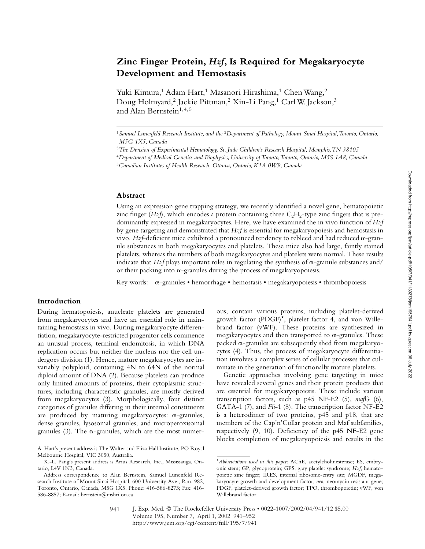# **Zinc Finger Protein,** *Hzf***, Is Required for Megakaryocyte Development and Hemostasis**

Yuki Kimura,<sup>1</sup> Adam Hart,<sup>1</sup> Masanori Hirashima,<sup>1</sup> Chen Wang,<sup>2</sup> Doug Holmyard,<sup>2</sup> Jackie Pittman,<sup>2</sup> Xin-Li Pang,<sup>1</sup> Carl W. Jackson,<sup>3</sup> and Alan Bernstein<sup>1, 4, 5</sup>

#### **Abstract**

Using an expression gene trapping strategy, we recently identified a novel gene, hematopoietic zinc finger  $(Hz\hat{\beta})$ , which encodes a protein containing three  $C_2H_2$ -type zinc fingers that is predominantly expressed in megakaryocytes. Here, we have examined the in vivo function of *Hzf* by gene targeting and demonstrated that *Hzf* is essential for megakaryopoiesis and hemostasis in vivo. *Hzf*-deficient mice exhibited a pronounced tendency to rebleed and had reduced  $\alpha$ -granule substances in both megakaryocytes and platelets. These mice also had large, faintly stained platelets, whereas the numbers of both megakaryocytes and platelets were normal. These results indicate that  $Hzf$  plays important roles in regulating the synthesis of  $\alpha$ -granule substances and/ or their packing into  $\alpha$ -granules during the process of megakaryopoiesis.

Key words: a-granules • hemorrhage • hemostasis • megakaryopoiesis • thrombopoiesis

## **Introduction**

During hematopoiesis, anucleate platelets are generated from megakaryocytes and have an essential role in maintaining hemostasis in vivo. During megakaryocyte differentiation, megakaryocyte-restricted progenitor cells commence an unusual process, terminal endomitosis, in which DNA replication occurs but neither the nucleus nor the cell undergoes division (1). Hence, mature megakaryocytes are invariably polyploid, containing 4N to 64N of the normal diploid amount of DNA (2). Because platelets can produce only limited amounts of proteins, their cytoplasmic structures, including characteristic granules, are mostly derived from megakaryocytes (3). Morphologically, four distinct categories of granules differing in their internal constituents are produced by maturing megakaryocytes:  $\alpha$ -granules, dense granules, lysosomal granules, and microperoxisomal granules (3). The  $\alpha$ -granules, which are the most numerous, contain various proteins, including platelet-derived growth factor (PDGF)\*, platelet factor 4, and von Willebrand factor (vWF). These proteins are synthesized in megakaryocytes and then transported to  $\alpha$ -granules. These packed  $\alpha$ -granules are subsequently shed from megakaryocytes (4). Thus, the process of megakaryocyte differentiation involves a complex series of cellular processes that culminate in the generation of functionally mature platelets.

Genetic approaches involving gene targeting in mice have revealed several genes and their protein products that are essential for megakaryopoiesis. These include various transcription factors, such as p45 NF-E2 (5), *maf*G (6), GATA-1 (7), and *Fli*-1 (8). The transcription factor NF-E2 is a heterodimer of two proteins, p45 and p18, that are members of the Cap'n'Collar protein and Maf subfamilies, respectively (9, 10). Deficiency of the p45 NF-E2 gene blocks completion of megakaryopoiesis and results in the

<sup>1</sup>*Samuel Lunenfeld Research Institute, and the* <sup>2</sup>*Department of Pathology, Mount Sinai Hospital, Toronto, Ontario, M5G 1X5, Canada*

<sup>3</sup>*The Division of Experimental Hematology, St. Jude Children's Research Hospital, Memphis, TN 38105*

<sup>4</sup>*Department of Medical Genetics and Biophysics, University of Toronto, Toronto, Ontario, M5S 1A8, Canada* <sup>5</sup>*Canadian Institutes of Health Research, Ottawa, Ontario, K1A 0W9, Canada*

A. Hart's present address is The Walter and Eliza Hall Institute, PO Royal Melbourne Hospital, VIC 3050, Australia.

X.-L. Pang's present address is Arius Research, Inc., Mississauga, Ontario, L4V 1N3, Canada.

Address correspondence to Alan Bernstein, Samuel Lunenfeld Research Institute of Mount Sinai Hospital, 600 University Ave., Rm. 982, Toronto, Ontario, Canada, M5G 1X5. Phone: 416-586-8273; Fax: 416- 586-8857; E-mail: bernstein@mshri.on.ca

<sup>\*</sup>*Abbreviations used in this paper:* AChE, acetylcholinesterase; ES, embryonic stem; GP, glycoprotein; GPS, gray platelet syndrome; *Hzf*, hematopoietic zinc finger; IRES, internal ribosome-entry site; MGDF, megakaryocyte growth and development factor; *neo*, neomycin resistant gene; PDGF, platelet-derived growth factor; TPO, thrombopoietin; vWF, von Willebrand factor.

J. Exp. Med. © The Rockefeller University Press • 0022-1007/2002/04/941/12 \$5.00 Volume 195, Number 7, April 1, 2002 941–952 http://www.jem.org/cgi/content/full/195/7/941 941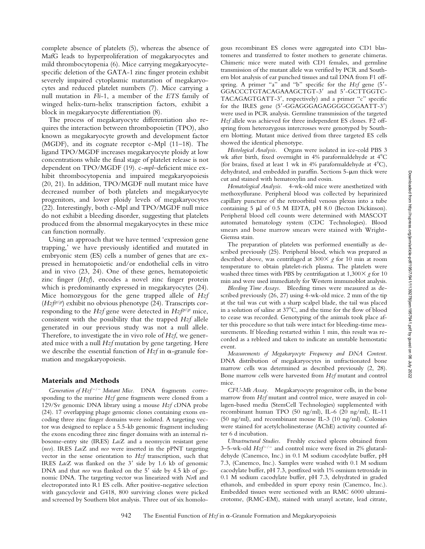complete absence of platelets (5), whereas the absence of MafG leads to hyperproliferation of megakaryocytes and mild thrombocytopenia (6). Mice carrying megakaryocytespecific deletion of the GATA-1 zinc finger protein exhibit severely impaired cytoplasmic maturation of megakaryocytes and reduced platelet numbers (7). Mice carrying a null mutation in *Fli*-1, a member of the *ETS* family of winged helix-turn-helix transcription factors, exhibit a block in megakaryocyte differentiation (8).

The process of megakaryocyte differentiation also requires the interaction between thrombopoietin (TPO), also known as megakaryocyte growth and development factor (MGDF), and its cognate receptor c-Mpl (11–18). The ligand TPO/MGDF increases megakaryocyte ploidy at low concentrations while the final stage of platelet release is not dependent on TPO/MGDF (19). c-*mpl*–deficient mice exhibit thrombocytopenia and impaired megakaryopoiesis (20, 21). In addition, TPO/MGDF null mutant mice have decreased number of both platelets and megakaryocyte progenitors, and lower ploidy levels of megakaryocytes (22). Interestingly, both c-Mpl and TPO/MGDF null mice do not exhibit a bleeding disorder, suggesting that platelets produced from the abnormal megakaryocytes in these mice can function normally.

Using an approach that we have termed 'expression gene trapping,' we have previously identified and mutated in embryonic stem (ES) cells a number of genes that are expressed in hematopoietic and/or endothelial cells in vitro and in vivo (23, 24). One of these genes, hematopoietic zinc finger (*Hzf*), encodes a novel zinc finger protein which is predominantly expressed in megakaryocytes (24). Mice homozygous for the gene trapped allele of *Hzf* (*Hzfgt*/*gt*) exhibit no obvious phenotype (24). Transcripts corresponding to the *Hzf* gene were detected in *Hzfgt*/*gt* mice, consistent with the possibility that the trapped *Hzf* allele generated in our previous study was not a null allele. Therefore, to investigate the in vivo role of *Hzf*, we generated mice with a null *Hzf* mutation by gene targeting. Here we describe the essential function of  $Hzf$  in  $\alpha$ -granule formation and megakaryopoiesis.

### **Materials and Methods**

*Generation of Hzf/ Mutant Mice.* DNA fragments corresponding to the murine *Hzf* gene fragments were cloned from a 129/Sv genomic DNA library using a mouse *Hzf* cDNA probe (24). 17 overlapping phage genomic clones containing exons encoding three zinc finger domains were isolated. A targeting vector was designed to replace a 5.5-kb genomic fragment including the exons encoding three zinc finger domains with an internal ribosome-entry site (IRES) *Lac*Z and a neomycin resistant gene (*neo*). IRES *Lac*Z and *neo* were inserted in the pPNT targeting vector in the sense orientation to *Hzf* transcription, such that IRES *Lac*Z was flanked on the 3' side by 1.6 kb of genomic DNA and that *neo* was flanked on the 5' side by 4.5 kb of genomic DNA. The targeting vector was linearized with *Not*I and electroporated into R1 ES cells. After positive-negative selection with gancyclovir and G418, 800 surviving clones were picked and screened by Southern blot analysis. Three out of six homolo-

gous recombinant ES clones were aggregated into CD1 blastomeres and transferred to foster mothers to generate chimeras. Chimeric mice were mated with CD1 females, and germline transmission of the mutant allele was verified by PCR and Southern blot analysis of ear punched tissues and tail DNA from F1 offspring. A primer "a" and "b" specific for the *Hzf* gene (5- GGACCCTGTACAGAAAGCTGT-3' and 5'-GCTTGGTC-TACAGAGTGATT-3, respectively) and a primer "c" specific for the IRES gene (5'-GGAGGGAGAGGGGCGGAATT-3') were used in PCR analysis. Germline transmission of the targeted *Hzf* allele was achieved for three independent ES clones. F2 offspring from heterozygous intercrosses were genotyped by Southern blotting. Mutant mice derived from three targeted ES cells showed the identical phenotype.

*Histological Analysis.* Organs were isolated in ice-cold PBS 3 wk after birth, fixed overnight in 4% paraformaldehyde at 4°C (for brains, fixed at least 1 wk in 4% paraformaldehyde at  $4^{\circ}C$ ), dehydrated, and embedded in paraffin. Sections  $5-\mu m$  thick were cut and stained with hematoxylin and eosin.

*Hematological Analysis.* 4-wk-old mice were anesthetized with methoxyflurane. Peripheral blood was collected by heparinized capillary puncture of the retroorbital venous plexus into a tube containing 5  $\mu$ l of 0.5 M EDTA, pH 8.0 (Becton Dickinson). Peripheral blood cell counts were determined with MASCOT automated hematology system (CDC Technologies). Blood smears and bone marrow smears were stained with Wright-Giemsa stain.

The preparation of platelets was performed essentially as described previously (25). Peripheral blood, which was prepared as described above, was centrifuged at  $300 \times g$  for 10 min at room temperature to obtain platelet-rich plasma. The platelets were washed three times with PBS by centrifugation at  $1,300 \times g$  for 10 min and were used immediately for Western immunoblot analysis.

*Bleeding Time Assays.* Bleeding times were measured as described previously (26, 27) using 4-wk-old mice. 2 mm of the tip at the tail was cut with a sharp scalpel blade, the tail was placed in a solution of saline at 37°C, and the time for the flow of blood to cease was recorded. Genotyping of the animals took place after this procedure so that tails were intact for bleeding-time measurements. If bleeding restarted within 1 min, this result was recorded as a rebleed and taken to indicate an unstable hemostatic event.

*Measurements of Megakaryocyte Frequency and DNA Content.* DNA distribution of megakaryocytes in unfractionated bone marrow cells was determined as described previously (2, 28). Bone marrow cells were harvested from *Hzf* mutant and control mice.

*CFU-Mk Assay.* Megakaryocyte progenitor cells, in the bone marrow from *Hzf* mutant and control mice, were assayed in collagen-based media (StemCell Technologies) supplemented with recombinant human TPO (50 ng/ml), IL-6 (20 ng/ml), IL-11 (50 ng/ml), and recombinant mouse IL-3 (10 ng/ml). Colonies were stained for acetylcholinesterase (AChE) activity counted after 6 d incubation.

*Ultrastructural Studies.* Freshly excised spleens obtained from 3–5-wk-old  $Hzf^{-/-}$  and control mice were fixed in 2% glutaraldehyde (Canemco, Inc.) in 0.1 M sodium cacodylate buffer, pH 7.3, (Canemco, Inc.). Samples were washed with 0.1 M sodium cacodylate buffer, pH 7.3, postfixed with 1% osmium tetroxide in 0.1 M sodium cacodylate buffer, pH 7.3, dehydrated in graded ethanols, and embedded in spurr epoxy resin (Canemco, Inc.). Embedded tissues were sectioned with an RMC 6000 ultramicrotome, (RMC-EM), stained with uranyl acetate, lead citrate,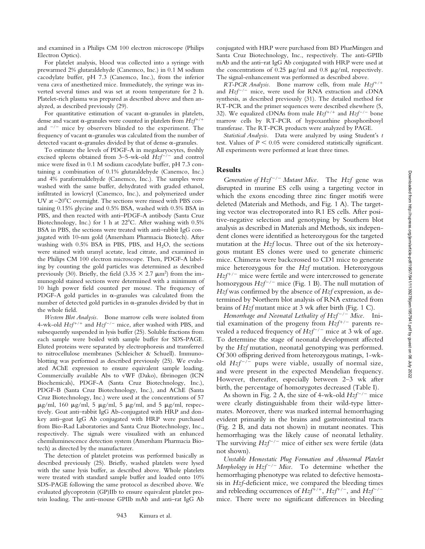and examined in a Philips CM 100 electron microscope (Philips Electron Optics).

For platelet analysis, blood was collected into a syringe with prewarmed 2% glutaraldehyde (Canemco, Inc.) in 0.1 M sodium cacodylate buffer, pH 7.3 (Canemco, Inc.), from the inferior vena cava of anesthetized mice. Immediately, the syringe was inverted several times and was set at room temperature for 2 h. Platelet-rich plasma was prepared as described above and then analyzed, as described previously (29).

For quantitative estimation of vacant  $\alpha$ -granules in platelets, dense and vacant  $\alpha$ -granules were counted in platelets from  $Hzf^{+/+}$ and  $\frac{-}{-}$  mice by observers blinded to the experiment. The frequency of vacant  $\alpha$ -granules was calculated from the number of detected vacant  $\alpha$ -granules divided by that of dense  $\alpha$ -granules.

To estimate the levels of PDGF-A in megakaryocytes, freshly excised spleens obtained from 3-5-wk-old *Hzf<sup>-/-</sup>* and control mice were fixed in 0.1 M sodium cacodylate buffer, pH 7.3 containing a combination of 0.1% glutaraldehyde (Canemco, Inc.) and 4% paraformaldehyde (Canemco, Inc.). The samples were washed with the same buffer, dehydrated with graded ethanol, infiltrated in lowicryl (Canemco, Inc.), and polymerized under UV at  $-20^{\circ}$ C overnight. The sections were rinsed with PBS containing 0.15% glycine and 0.5% BSA, washed with 0.5% BSA in PBS, and then reacted with anti–PDGF-A antibody (Santa Cruz Biotechnology, Inc.) for 1 h at  $22^{\circ}$ C. After washing with 0.5% BSA in PBS, the sections were treated with anti–rabbit IgG conjugated with 10-nm gold (Amersham Pharmacia Biotech). After washing with  $0.5\%$  BSA in PBS, PBS, and H<sub>2</sub>O, the sections were stained with uranyl acetate, lead citrate, and examined in the Philips CM 100 electron microscope. Then, PDGF-A labeling by counting the gold particles was determined as described previously (30). Briefly, the field (3.35  $\times$  2.7  $\mu$ m<sup>2</sup>) from the immunogold stained sections were determined with a minimum of 10 high power field counted per mouse. The frequency of PDGF-A gold particles in  $\alpha$ -granules was calculated from the number of detected gold particles in  $\alpha$ -granules divided by that in the whole field.

*Western Blot Analysis.* Bone marrow cells were isolated from 4-wk-old  $Hzf^{+/+}$  and  $Hzf^{-/-}$  mice, after washed with PBS, and subsequently suspended in lysis buffer (25). Soluble fractions from each sample were boiled with sample buffer for SDS-PAGE. Eluted proteins were separated by electrophoresis and transferred to nitrocellulose membranes (Schleicher & Schuell). Immunoblotting was performed as described previously (25). We evaluated AChE expression to ensure equivalent sample loading. Commercially available Abs to vWF (Dako), fibrinogen (ICN Biochemicals), PDGF-A (Santa Cruz Biotechnology, Inc.), PDGF-B (Santa Cruz Biotechnology, Inc.), and AChE (Santa Cruz Biotechnology, Inc.) were used at the concentrations of 57  $\mu$ g/ml, 160  $\mu$ g/ml, 5  $\mu$ g/ml, 5  $\mu$ g/ml, and 5  $\mu$ g/ml, respectively. Goat anti–rabbit IgG Ab-conjugated with HRP and donkey anti–goat IgG Ab conjugated with HRP were purchased from Bio-Rad Laboratories and Santa Cruz Biotechnology, Inc., respectively. The signals were visualized with an enhanced chemiluminescence detection system (Amersham Pharmacia Biotech) as directed by the manufacturer.

The detection of platelet proteins was performed basically as described previously (25). Briefly, washed platelets were lysed with the same lysis buffer, as described above. Whole platelets were treated with standard sample buffer and loaded onto 10% SDS-PAGE following the same protocol as described above. We evaluated glycoprotein (GP)IIb to ensure equivalent platelet protein loading. The anti–mouse GPIIb mAb and anti–rat IgG Ab

conjugated with HRP were purchased from BD PharMingen and Santa Cruz Biotechnology, Inc., respectively. The anti-GPIIb mAb and the anti–rat IgG Ab conjugated with HRP were used at the concentrations of 0.25  $\mu$ g/ml and 0.8  $\mu$ g/ml, respectively. The signal-enhancement was performed as described above.

 $RT-PCR$  *Analysis.* Bone marrow cells, from male  $Hzf^{+/+}$ and  $Hzf^{-/-}$  mice, were used for RNA extraction and cDNA synthesis, as described previously (31). The detailed method for RT-PCR and the primer sequences were described elsewhere (5, 32). We equalized cDNAs from male  $Hzf^{+/+}$  and  $Hzf^{-/-}$  bone marrow cells by RT-PCR of hypoxanthine phosphoribosyl transferase. The RT-PCR products were analyzed by PAGE.

*Statistical Analysis.* Data were analyzed by using Student's *t* test. Values of  $P \leq 0.05$  were considered statistically significant. All experiments were performed at least three times.

#### **Results**

*Generation of Hzf<sup>* $-/-$ *</sup> Mutant Mice.* The *Hzf* gene was disrupted in murine ES cells using a targeting vector in which the exons encoding three zinc finger motifs were deleted (Materials and Methods, and Fig. 1 A). The targeting vector was electroporated into R1 ES cells. After positive-negative selection and genotyping by Southern blot analysis as described in Materials and Methods, six independent clones were identified as heterozygous for the targeted mutation at the *Hzf* locus. Three out of the six heterozygous mutant ES clones were used to generate chimeric mice. Chimeras were backcrossed to CD1 mice to generate mice heterozygous for the *Hzf* mutation. Heterozygous  $Hzf^{+/-}$  mice were fertile and were intercrossed to generate homozygous  $Hzf^{-/-}$  mice (Fig. 1 B). The null mutation of *Hzf* was confirmed by the absence of *Hzf* expression, as determined by Northern blot analysis of RNA extracted from brains of *Hzf* mutant mice at 3 wk after birth (Fig. 1 C).

*Hemorrhage and Neonatal Lethality of Hzf<sup>* $-/-$ *</sup> Mice.* Initial examination of the progeny from  $Hzf^{+/-}$  parents revealed a reduced frequency of  $Hzf^{-/-}$  mice at 3 wk of age. To determine the stage of neonatal development affected by the *Hzf* mutation, neonatal genotyping was performed. Of 300 offspring derived from heterozygous matings, 1-wkold  $Hzf^{-/-}$  pups were viable, usually of normal size, and were present in the expected Mendelian frequency. However, thereafter, especially between 2–3 wk after birth, the percentage of homozygotes decreased (Table I).

As shown in Fig. 2 A, the size of 4-wk-old  $Hzf^{-/-}$  mice were clearly distinguishable from their wild-type littermates. Moreover, there was marked internal hemorrhaging evident primarily in the brains and gastrointestinal tracts (Fig. 2 B, and data not shown) in mutant neonates. This hemorrhaging was the likely cause of neonatal lethality. The surviving  $Hzf^{-/-}$  mice of either sex were fertile (data not shown).

*Unstable Hemostatic Plug Formation and Abnormal Platelet Morphology in Hzf<sup>* $-/-$ *</sup> Mice.* To determine whether the hemorrhaging phenotype was related to defective hemostasis in *Hzf*-deficient mice, we compared the bleeding times and rebleeding occurrences of  $Hzf^{+/+}$ ,  $Hzf^{+/-}$ , and  $Hzf^{-/-}$ mice. There were no significant differences in bleeding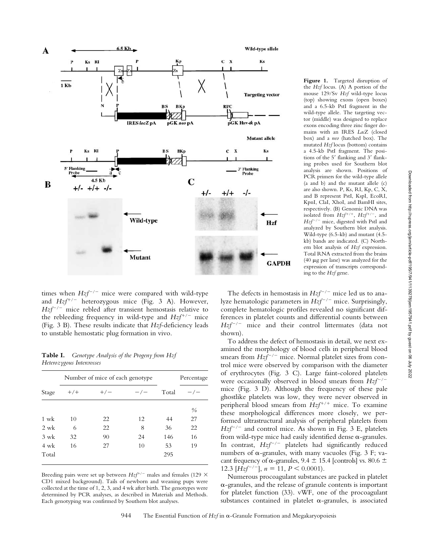

times when  $Hzf^{-/-}$  mice were compared with wild-type and  $Hzf^{+/-}$  heterozygous mice (Fig. 3 A). However,  $Hzf^{-/-}$  mice rebled after transient hemostasis relative to the rebleeding frequency in wild-type and  $Hzf^{+/-}$  mice (Fig. 3 B). These results indicate that *Hzf*-deficiency leads to unstable hemostatic plug formation in vivo.

**Table I.** *Genotype Analysis of the Progeny from Hzf Heterozygous Intercrosses*

|       |       |       | Total | Percentage    |
|-------|-------|-------|-------|---------------|
| $+/+$ | $+/-$ | $-/-$ |       |               |
|       |       |       |       | $\frac{0}{0}$ |
| 10    | 22    | 12    | 44    | 27            |
| 6     | 22    | 8     | 36    | 22            |
| 32    | 90    | 24    | 146   | 16            |
| 16    | 27    | 10    | 53    | 19            |
|       |       |       | 295   |               |
|       |       |       |       |               |

Breeding pairs were set up between  $Hzf^{+/-}$  males and females (129  $\times$ CD1 mixed background). Tails of newborn and weaning pups were collected at the time of 1, 2, 3, and 4 wk after birth. The genotypes were determined by PCR analyses, as described in Materials and Methods. Each genotyping was confirmed by Southern blot analyses.

the *Hzf* locus. (A) A portion of the mouse 129/Sv *Hzf* wild-type locus (top) showing exons (open boxes) and a 6.5-kb PstI fragment in the wild-type allele. The targeting vector (middle) was designed to replace exons encoding three zinc finger domains with an IRES *Lac*Z (closed box) and a *neo* (hatched box). The mutated *Hzf* locus (bottom) contains a 4.5-kb PstI fragment. The positions of the 5' flanking and 3' flanking probes used for Southern blot analysis are shown. Positions of PCR primers for the wild-type allele (a and b) and the mutant allele (c) are also shown. P, Ks, RI, Kp, C, X, and B represent PstI, KspI, EcoRI, KpnI, ClaI, XhoI, and BamHI sites, respectively. (B) Genomic DNA was isolated from  $Hzf^{+/+}$ ,  $Hzf^{+/-}$ , and Hzf<sup>-/-</sup> mice, digested with PstI and analyzed by Southern blot analysis. Wild-type (6.5-kb) and mutant (4.5 kb) bands are indicated. (C) Northern blot analysis of *Hzf* expression. Total RNA extracted from the brains (40  $\mu$ g per lane) was analyzed for the expression of transcripts corresponding to the *Hzf* gene.

**Figure 1.** Targeted disruption of

The defects in hemostasis in *Hzf<sup>-/-</sup>* mice led us to analyze hematologic parameters in  $Hzf^{-/-}$  mice. Surprisingly, complete hematologic profiles revealed no significant differences in platelet counts and differential counts between  $Hzf^{-/-}$  mice and their control littermates (data not shown).

To address the defect of hemostasis in detail, we next examined the morphology of blood cells in peripheral blood smears from  $Hzf^{-/-}$  mice. Normal platelet sizes from control mice were observed by comparison with the diameter of erythrocytes (Fig. 3 C). Large faint-colored platelets were occasionally observed in blood smears from  $Hzf^{-/-}$ mice (Fig. 3 D). Although the frequency of these pale ghostlike platelets was low, they were never observed in peripheral blood smears from  $Hzf^{+/+}$  mice. To examine these morphological differences more closely, we performed ultrastructural analysis of peripheral platelets from  $Hzf^{-/-}$  and control mice. As shown in Fig. 3 E, platelets from wild-type mice had easily identified dense  $\alpha$ -granules. In contrast,  $Hzf^{-/-}$  platelets had significantly reduced numbers of  $\alpha$ -granules, with many vacuoles (Fig. 3 F; vacant frequency of  $\alpha$ -granules, 9.4  $\pm$  15.4 [controls] vs. 80.6  $\pm$ 12.3  $[Hzf^{-/-}]$ ,  $n = 11$ ,  $P \le 0.0001$ ).

Numerous procoagulant substances are packed in platelet --granules, and the release of granule contents is important for platelet function (33). vWF, one of the procoagulant substances contained in platelet  $\alpha$ -granules, is associated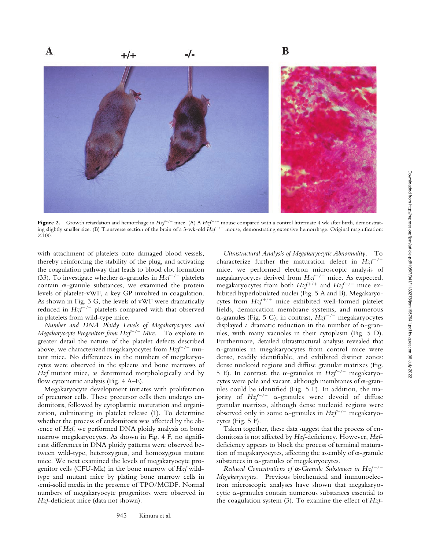

**Figure 2.** Growth retardation and hemorrhage in  $Hzf^{-/-}$  mice. (A) A  $Hzf^{-/-}$  mouse compared with a control littermate 4 wk after birth, demonstrating slightly smaller size. (B) Transverse section of the brain of a 3-wk-old  $\vec{Hz}f^{-/-}$  mouse, demonstrating extensive hemorrhage. Original magnification:  $\times 100.$ 

with attachment of platelets onto damaged blood vessels, thereby reinforcing the stability of the plug, and activating the coagulation pathway that leads to blood clot formation (33). To investigate whether  $\alpha$ -granules in *Hzf<sup>-/-</sup>* platelets contain  $\alpha$ -granule substances, we examined the protein levels of platelet-vWF, a key GP involved in coagulation. As shown in Fig. 3 G, the levels of vWF were dramatically reduced in  $Hzf^{-/-}$  platelets compared with that observed in platelets from wild-type mice.

*Number and DNA Ploidy Levels of Megakaryocytes and Megakaryocyte Progenitors from Hzf<sup>-/-</sup> Mice.* To explore in greater detail the nature of the platelet defects described above, we characterized megakaryocytes from  $Hzf^{-/-}$  mutant mice. No differences in the numbers of megakaryocytes were observed in the spleens and bone marrows of *Hzf* mutant mice, as determined morphologically and by flow cytometric analysis (Fig. 4 A–E).

Megakaryocyte development initiates with proliferation of precursor cells. These precursor cells then undergo endomitosis, followed by cytoplasmic maturation and organization, culminating in platelet release (1). To determine whether the process of endomitosis was affected by the absence of *Hzf*, we performed DNA ploidy analysis on bone marrow megakaryocytes. As shown in Fig. 4 F, no significant differences in DNA ploidy patterns were observed between wild-type, heterozygous, and homozygous mutant mice. We next examined the levels of megakaryocyte progenitor cells (CFU-Mk) in the bone marrow of *Hzf* wildtype and mutant mice by plating bone marrow cells in semi-solid media in the presence of TPO/MGDF. Normal numbers of megakaryocyte progenitors were observed in *Hzf*-deficient mice (data not shown).

*Ultrastructural Analysis of Megakaryocytic Abnormality.* To characterize further the maturation defect in  $Hzf^{-/-}$ mice, we performed electron microscopic analysis of megakaryocytes derived from  $Hzf^{-/-}$  mice. As expected, megakaryocytes from both  $Hzf^{+/+}$  and  $Hzf^{-/-}$  mice exhibited hyperlobulated nuclei (Fig. 5 A and B). Megakaryocytes from  $Hzf^{+/+}$  mice exhibited well-formed platelet fields, demarcation membrane systems, and numerous α-granules (Fig. 5 C); in contrast,  $Hzf^{-/-}$  megakaryocytes displayed a dramatic reduction in the number of  $\alpha$ -granules, with many vacuoles in their cytoplasm (Fig. 5 D). Furthermore, detailed ultrastructural analysis revealed that --granules in megakaryocytes from control mice were dense, readily identifiable, and exhibited distinct zones: dense nucleoid regions and diffuse granular matrixes (Fig. 5 E). In contrast, the  $\alpha$ -granules in  $Hzf^{-/-}$  megakaryocytes were pale and vacant, although membranes of  $\alpha$ -granules could be identified (Fig. 5 F). In addition, the majority of  $Hzf^{-/-}$   $\alpha$ -granules were devoid of diffuse granular matrixes, although dense nucleoid regions were observed only in some  $\alpha$ -granules in  $Hzf^{-/-}$  megakaryocytes (Fig. 5 F).

Taken together, these data suggest that the process of endomitosis is not affected by *Hzf*-deficiency. However, *Hzf*deficiency appears to block the process of terminal maturation of megakaryocytes, affecting the assembly of  $\alpha$ -granule substances in  $\alpha$ -granules of megakaryocytes.

*Reduced Concentrations of*  $\alpha$ *-Granule Substances in Hzf<sup>-/-</sup> Megakaryocytes.* Previous biochemical and immunoelectron microscopic analyses have shown that megakaryo $c$ ytic  $\alpha$ -granules contain numerous substances essential to the coagulation system (3). To examine the effect of *Hzf*-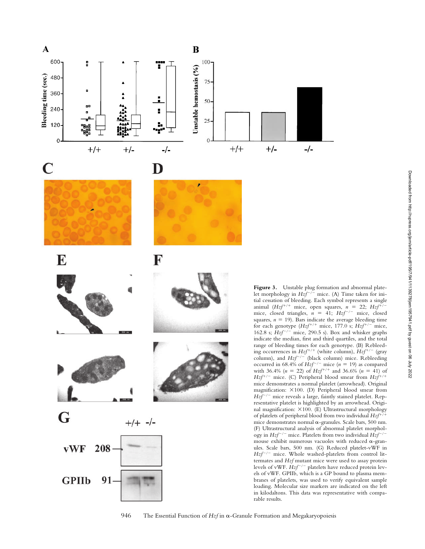

946 The Essential Function of *Hzf* in α-Granule Formation and Megakaryopoiesis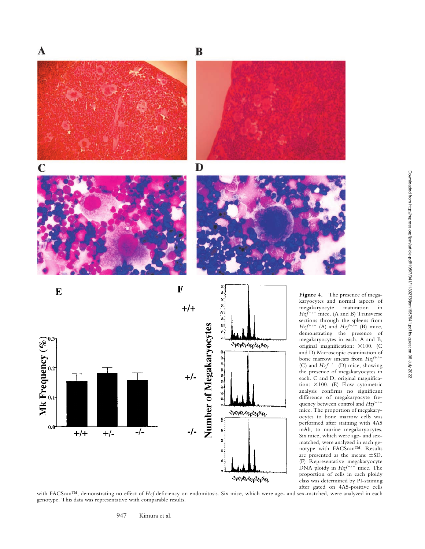



 $\bf{B}$ 







**Figure 4.** The presence of megakaryocytes and normal aspects of megakaryocyte maturation in Hzf<sup>-/-</sup> mice. (A and B) Transverse sections through the spleens from  $Hzf^{+/+}$  (A) and  $Hzf^{-/-}$  (B) mice, demonstrating the presence of megakaryocytes in each. A and B, original magnification: ×100. (C and D) Microscopic examination of bone marrow smears from  $Hzf^{+/+}$ (C) and  $Hzf^{-/-}$  (D) mice, showing the presence of megakaryocytes in each. C and D, original magnification:  $\times 100$ . (E) Flow cytometric analysis confirms no significant difference of megakaryocyte frequency between control and  $Hzf^{-/-}$ mice. The proportion of megakaryocytes to bone marrow cells was performed after staining with 4A5 mAb, to murine megakaryocytes. Six mice, which were age- and sexmatched, were analyzed in each genotype with FACScan™. Results are presented as the means SD. (F) Representative megakaryocyte DNA ploidy in  $Hzf^{-/-}$  mice. The proportion of cells in each ploidy class was determined by PI-staining after gated on 4A5-positive cells

with FACScan™, demonstrating no effect of *Hzf* deficiency on endomitosis. Six mice, which were age- and sex-matched, were analyzed in each genotype. This data was representative with comparable results.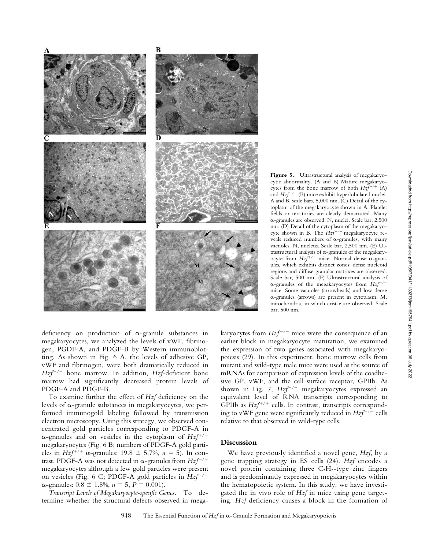

**Figure 5.** Ultrastructural analysis of megakaryocytic abnormality. (A and B) Mature megakaryocytes from the bone marrow of both  $Hzf^{+/+}$  (A) and  $Hzf^{-/-}$  (B) mice exhibit hyperlobulated nuclei. A and B, scale bars, 5,000 nm. (C) Detail of the cytoplasm of the megakaryocyte shown in A. Platelet fields or territories are clearly demarcated. Many --granules are observed. N, nuclei. Scale bar, 2,500 nm. (D) Detail of the cytoplasm of the megakaryocyte shown in B. The  $Hzf^{-/-}$  megakaryocyte reveals reduced numbers of  $\alpha$ -granules, with many vacuoles. N, nucleus. Scale bar, 2,500 nm. (E) Ultrastructural analysis of  $\alpha$ -granules of the megakaryocyte from  $Hzf^{+/+}$  mice. Normal dense  $\alpha$ -granules, which exhibits distinct zones: dense nucleoid regions and diffuse granular matrixes are observed. Scale bar, 500 nm. (F) Ultrastructural analysis of α-granules of the megakaryocytes from  $Hzf^{-/-}$ mice. Some vacuoles (arrowheads) and low dense --granules (arrows) are present in cytoplasm. M, mitochondria, in which cristae are observed. Scale bar, 500 nm.

deficiency on production of  $\alpha$ -granule substances in megakaryocytes, we analyzed the levels of vWF, fibrinogen, PGDF-A, and PDGF-B by Western immunoblotting. As shown in Fig. 6 A, the levels of adhesive GP, vWF and fibrinogen, were both dramatically reduced in  $Hzf^{-/-}$  bone marrow. In addition, *Hzf*-deficient bone marrow had significantly decreased protein levels of PDGF-A and PDGF-B.

To examine further the effect of *Hzf* deficiency on the levels of  $\alpha$ -granule substances in megakaryocytes, we performed immunogold labeling followed by transmission electron microscopy. Using this strategy, we observed concentrated gold particles corresponding to PDGF-A in a-granules and on vesicles in the cytoplasm of  $Hzf^{+/+}$ megakaryocytes (Fig. 6 B; numbers of PDGF-A gold particles in *Hzf*<sup>+/+</sup>  $\alpha$ -granules: 19.8  $\pm$  5.7%,  $n = 5$ ). In contrast, PDGF-A was not detected in  $\alpha$ -granules from  $Hzf^{-/-}$ megakaryocytes although a few gold particles were present on vesicles (Fig. 6 C; PDGF-A gold particles in  $Hzf^{-/-}$  $\alpha$ -granules:  $0.8 \pm 1.8$ %,  $n = 5$ ,  $P = 0.001$ ).

*Transcript Levels of Megakaryocyte-specific Genes.* To determine whether the structural defects observed in mega-

karyocytes from  $Hzf^{-/-}$  mice were the consequence of an earlier block in megakaryocyte maturation, we examined the expression of two genes associated with megakaryopoiesis (29). In this experiment, bone marrow cells from mutant and wild-type male mice were used as the source of mRNAs for comparison of expression levels of the coadhesive GP, vWF, and the cell surface receptor, GPIIb. As shown in Fig. 7,  $Hzf^{-/-}$  megakaryocytes expressed an equivalent level of RNA transcripts corresponding to GPIIb as  $Hzf^{+/+}$  cells. In contrast, transcripts corresponding to vWF gene were significantly reduced in  $Hzf^{-/-}$  cells relative to that observed in wild-type cells.

# **Discussion**

We have previously identified a novel gene, *Hzf*, by a gene trapping strategy in ES cells (24). *Hzf* encodes a novel protein containing three  $C_2H_2$ -type zinc fingers and is predominantly expressed in megakaryocytes within the hematopoietic system. In this study, we have investigated the in vivo role of *Hzf* in mice using gene targeting. *Hzf* deficiency causes a block in the formation of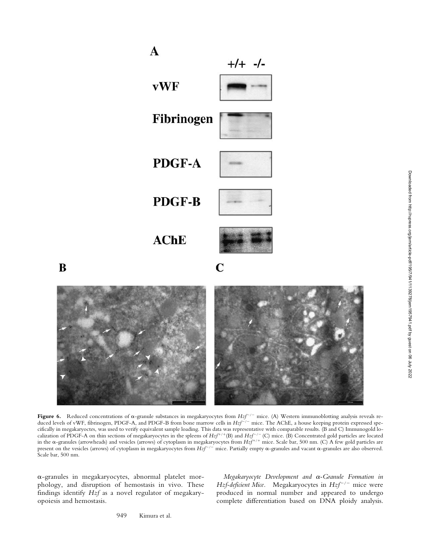$\mathbf{A}$  $+/-$  -/**vWF** Fibrinogen PDGF-A **PDGF-B AChE**  $\mathbf C$ 

Figure 6. Reduced concentrations of  $\alpha$ -granule substances in megakaryocytes from  $Hzf^{-/-}$  mice. (A) Western immunoblotting analysis reveals reduced levels of vWF, fibrinogen, PDGF-A, and PDGF-B from bone marrow cells in *Hzf*<sup>-/-</sup> mice. The AChE, a house keeping protein expressed specifically in megakaryoctes, was used to verify equivalent sample loading. This data was representative with comparable results. (B and C) Immunogold localization of PDGF-A on thin sections of megakaryocytes in the spleens of *Hzf*<sup>+/+</sup>(B) and *Hzf*<sup>-/-</sup> (C) mice. (B) Concentrated gold particles are located in the  $\alpha$ -granules (arrowheads) and vesicles (arrows) of cytoplasm in megakaryocytes from *Hzf*<sup>+/+</sup> mice. Scale bar, 500 nm. (C) A few gold particles are present on the vesicles (arrows) of cytoplasm in megakaryocytes from  $Hzf^{-/-}$  mice. Partially empty  $\alpha$ -granules and vacant  $\alpha$ -granules are also observed. Scale bar, 500 nm.

--granules in megakaryocytes, abnormal platelet morphology, and disruption of hemostasis in vivo. These findings identify *Hzf* as a novel regulator of megakaryopoiesis and hemostasis.

B

Megakaryocyte Development and α-Granule Formation in *Hzf-deficient Mice.* Megakaryocytes in  $Hzf^{-/-}$  mice were produced in normal number and appeared to undergo complete differentiation based on DNA ploidy analysis.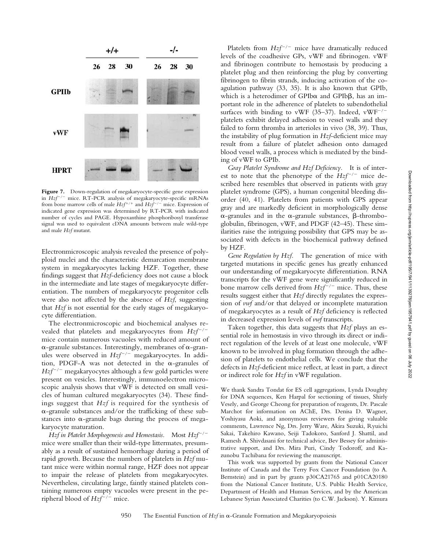

Figure 7. Down-regulation of megakaryocyte-specific gene expression in *Hzf<sup>-/-</sup>* mice. RT-PCR analysis of megakaryocyte-specific mRNAs from bone marrow cells of male  $Hzf^{+/+}$  and  $Hzf^{-/-}$  mice. Expression of indicated gene expression was determined by RT-PCR with indicated number of cycles and PAGE. Hypoxanthine phosphoribosyl transferase signal was used to equivalent cDNA amounts between male wild-type and male *Hzf* mutant.

Electronmicroscopic analysis revealed the presence of polyploid nuclei and the characteristic demarcation membrane system in megakaryocytes lacking HZF. Together, these findings suggest that *Hzf*-deficiency does not cause a block in the intermediate and late stages of megakaryocyte differentiation. The numbers of megakaryocyte progenitor cells were also not affected by the absence of *Hzf*, suggesting that *Hzf* is not essential for the early stages of megakaryocyte differentiation.

The electronmicroscopic and biochemical analyses revealed that platelets and megakaryocytes from  $Hzf^{-/-}$ mice contain numerous vacuoles with reduced amount of  $\alpha$ -granule substances. Interestingly, membranes of  $\alpha$ -granules were observed in *Hzf<sup>-/-</sup>* megakaryocytes. In addition, PDGF-A was not detected in the  $\alpha$ -granules of  $Hzf^{-/-}$  megakaryocytes although a few gold particles were present on vesicles. Interestingly, immunoelectron microscopic analysis shows that vWF is detected on small vesicles of human cultured megakaryocytes (34). These findings suggest that *Hzf* is required for the synthesis of --granule substances and/or the trafficking of these substances into  $\alpha$ -granule bags during the process of megakaryocyte maturation.

*Hzf in Platelet Morphogenesis and Hemostasis.* Most  $Hzf^{-/-}$ mice were smaller than their wild-type littermates, presumably as a result of sustained hemorrhage during a period of rapid growth. Because the numbers of platelets in *Hzf* mutant mice were within normal range, HZF does not appear to impair the release of platelets from megakaryocytes. Nevertheless, circulating large, faintly stained platelets containing numerous empty vacuoles were present in the peripheral blood of  $Hzf^{-/-}$  mice.

Platelets from  $Hzf^{-/-}$  mice have dramatically reduced levels of the coadhesive GPs, vWF and fibrinogen. vWF and fibrinogen contribute to hemostasis by producing a platelet plug and then reinforcing the plug by converting fibrinogen to fibrin strands, inducing activation of the coagulation pathway (33, 35). It is also known that GPIb, which is a heterodimer of GPIb $\alpha$  and GPIb $\beta$ , has an important role in the adherence of platelets to subendothelial surfaces with binding to vWF  $(35-37)$ . Indeed, vWF<sup>-/-</sup> platelets exhibit delayed adhesion to vessel walls and they failed to form thromba in arterioles in vivo (38, 39). Thus, the instability of plug formation in *Hzf*-deficient mice may result from a failure of platelet adhesion onto damaged blood vessel walls, a process which is mediated by the binding of vWF to GPIb.

*Gray Platelet Syndrome and Hzf Deficiency.* It is of interest to note that the phenotype of the  $Hzf^{-/-}$  mice described here resembles that observed in patients with gray platelet syndrome (GPS), a human congenital bleeding disorder (40, 41). Platelets from patients with GPS appear gray and are markedly deficient in morphologically dense  $\alpha$ -granules and in the  $\alpha$ -granule substances,  $\beta$ -thromboglobulin, fibrinogen, vWF, and PDGF (42–45). These similarities raise the intriguing possibility that GPS may be associated with defects in the biochemical pathway defined by HZF.

*Gene Regulation by Hzf.* The generation of mice with targeted mutations in specific genes has greatly enhanced our understanding of megakaryocyte differentiation. RNA transcripts for the vWF gene were significantly reduced in bone marrow cells derived from  $Hzf^{-/-}$  mice. Thus, these results suggest either that *Hzf* directly regulates the expression of *vwf* and/or that delayed or incomplete maturation of megakaryocytes as a result of *Hzf* deficiency is reflected in decreased expression levels of *vwf* transcripts.

Taken together, this data suggests that *Hzf* plays an essential role in hemostasis in vivo through its direct or indirect regulation of the levels of at least one molecule, vWF known to be involved in plug formation through the adhesion of platelets to endothelial cells. We conclude that the defects in *Hzf*-deficient mice reflect, at least in part, a direct or indirect role for *Hzf* in vWF regulation.

We thank Sandra Tondat for ES cell aggregations, Lynda Doughty for DNA sequences, Ken Harpal for sectioning of tissues, Shirly Vesely, and George Cheong for preparation of reagents, Dr. Pascale Marchot for information on AChE, Drs. Denisa D. Wagner, Yoshiyasu Aoki, and anonymous reviewers for giving valuable comments, Lawrence Ng, Drs. Jerry Ware, Akira Suzuki, Ryuichi Sakai, Takehiro Kawano, Seiji Tadokoro, Sanford J. Shattil, and Ramesh A. Shivdasani for technical advice, Bev Bessey for administrative support, and Drs. Mira Puri, Cindy Todoroff, and Kazunobu Tachibana for reviewing the manuscript.

This work was supported by grants from the National Cancer Institute of Canada and the Terry Fox Cancer Foundation (to A. Bernstein) and in part by grants p30CA21765 and p01CA20180 from the National Cancer Institute, U.S. Public Health Service, Department of Health and Human Services, and by the American Lebanese Syrian Associated Charities (to C.W. Jackson). Y. Kimura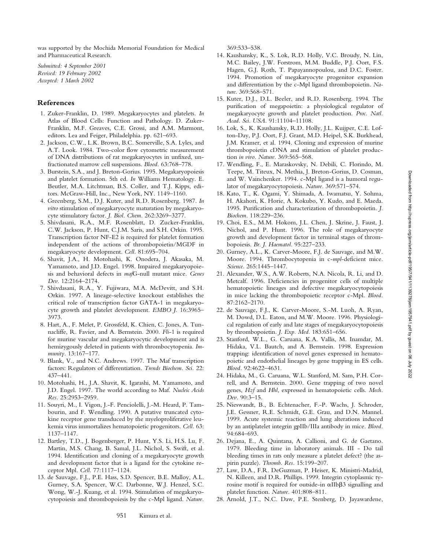was supported by the Mochida Memorial Foundation for Medical and Pharmaceutical Research.

*Submitted: 4 September 2001 Revised: 19 February 2002 Accepted: 1 March 2002*

## **References**

- 1. Zuker-Franklin, D. 1989. Megakaryocytes and platelets. *In* Atlas of Blood Cells: Function and Pathology. D. Zuker-Franklin, M.F. Greaves, C.E. Grossi, and A.M. Marmont, editors. Lea and Feiger, Philadelphia. pp. 621–693.
- 2. Jackson, C.W., L.K. Brown, B.C. Somerville, S.A. Lyles, and A.T. Look. 1984. Two-color flow cytometric measurement of DNA distributions of rat megakaryocytes in unfixed, unfractionated marrow cell suspensions. *Blood.* 63:768–778.
- 3. Burstein, S.A., and J. Breton-Gorius. 1995. Megakaryopoiesis and platelet formation. 5th ed. *In* Williams Hematology. E. Beutler, M.A. Litchtman, B.S. Coller, and T.J. Kipps, editors. McGraw-Hill, Inc., New York, NY. 1149–1160.
- 4. Greenberg, S.M., D.J. Kuter, and R.D. Rosenberg. 1987. *In vitro* stimulation of megakaryocyte maturation by megakaryocyte stimulatory factor. *J. Biol. Chem.* 262:3269–3277.
- 5. Shivdasani, R.A., M.F. Rosenblatt, D. Zucker-Franklin, C.W. Jackson, P. Hunt, C.J.M. Saris, and S.H. Orkin. 1995. Transcription factor NF-E2 is required for platelet formation independent of the actions of thrombopoietin/MGDF in megakaryocyte development. *Cell.* 81:695–704.
- 6. Shavit, J.A., H. Motohashi, K. Onodera, J. Akasaka, M. Yamamoto, and J.D. Engel. 1998. Impaired megakaryopoiesis and behavioral defects in *maf*G-null mutant mice. *Genes Dev.* 12:2164–2174.
- 7. Shivdasani, R.A., Y. Fujiwara, M.A. McDevitt, and S.H. Orkin. 1997. A lineage-selective knockout establishes the critical role of transcription factor GATA-1 in megakaryocyte growth and platelet development. *EMBO J.* 16:3965– 3973.
- 8. Hart, A., F. Melet, P. Grossfeld, K. Chien, C. Jones, A. Tunnacliffe, R. Favier, and A. Bernstein. 2000. *Fli*-1 is required for murine vascular and megakaryocytic development and is hemizygously deleted in patients with thrombocytopenia. *Immunity.* 13:167–177.
- 9. Blank, V., and N.C. Andrews. 1997. The Maf transcription factors: Regulators of differentiation. *Trends Biochem. Sci.* 22: 437–441.
- 10. Motohashi, H., J.A. Shavit, K. Igarashi, M. Yamamoto, and J.D. Engel. 1997. The world according to Maf. *Nucleic Acids Res.* 25:2953–2959.
- 11. Souyri, M., I. Vigon, J.-F. Penciolelli, J.-M. Heard, P. Tambourin, and F. Wendling. 1990. A putative truncated cytokine receptor gene transduced by the myeloproliferative leukemia virus immortalizes hematopoietic progenitors. *Cell.* 63: 1137–1147.
- 12. Bartley, T.D., J. Bogenberger, P. Hunt, Y.S. Li, H.S. Lu, F. Martin, M.S. Chang, B. Samal, J.L. Nichol, S. Swift, et al. 1994. Identification and cloning of a megakaryocyte growth and development factor that is a ligand for the cytokine receptor Mpl. *Cell*. 77:1117–1124.
- 13. de Sauvage, F.J., P.E. Hass, S.D. Spencer, B.E. Malloy, A.L. Gurney, S.A. Spencer, W.C. Darbonne, W.J. Henzel, S.C. Wong, W.-J. Kuang, et al. 1994. Stimulation of megakaryocytopoiesis and thrombopoiesis by the c-Mpl ligand. *Nature.*

369:533–538.

- 14. Kaushansky, K., S. Lok, R.D. Holly, V.C. Broudy, N. Lin, M.C. Bailey, J.W. Forstrom, M.M. Buddle, P.J. Oort, F.S. Hagen, G.J. Roth, T. Papayannopoulou, and D.C. Foster. 1994. Promotion of megakaryocyte progenitor expansion and differentiation by the c-Mpl ligand thrombopoietin. *Nature*. 369:568–571.
- 15. Kuter, D.J., D.L. Beeler, and R.D. Rosenberg. 1994. The purification of megapoietin: a physiological regulator of megakaryocyte growth and platelet production. *Proc. Natl. Acad. Sci. USA.* 91:11104–11108.
- 16. Lok, S., K. Kaushansky, R.D. Holly, J.L. Kuijper, C.E. Lofton-Day, P.J. Oort, F.J. Grant, M.D. Heipel, S.K. Burkhead, J.M. Kramer, et al. 1994. Cloning and expression of murine thrombopoietin cDNA and stimulation of platelet production *in vivo. Nature.* 369:565–568.
- 17. Wendling, F., E. Maraskovsky, N. Debili, C. Florindo, M. Teepe, M. Titeux, N. Methia, J. Breton-Gorius, D. Cosman, and W. Vainchenker. 1994. c-Mpl ligand is a humoral regulator of megakaryocytopoiesis. *Nature.* 369:571–574.
- 18. Kato, T., K. Ogami, Y. Shimada, A. Iwamatsu, Y. Sohma, H. Akahori, K. Horie, A. Kokubo, Y. Kudo, and E. Maeda. 1995. Purification and characterization of thrombopoietin. *J. Biochem.* 118:229–236.
- 19. Choi, E.S., M.M. Hokom, J.L. Chen, J. Skrine, J. Faust, J. Nichol, and P. Hunt. 1996. The role of megakaryocyte growth and development factor in terminal stages of thrombopoiesis. *Br. J. Haematol.* 95:227–233.
- 20. Gurney, A.L., K. Carver-Moore, F.J. de Sauvage, and M.W. Moore. 1994. Thrombocytopenia in c-*mpl*-deficient mice. *Science.* 265:1445–1447.
- 21. Alexander, W.S., A.W. Roberts, N.A. Nicola, R. Li, and D. Metcalf. 1996. Deficiencies in progenitor cells of multiple hematopoietic lineages and defective megakaryocytopoiesis in mice lacking the thrombopoietic receptor c-Mpl. *Blood.* 87:2162–2170.
- 22. de Sauvage, F.J., K. Carver-Moore, S.-M. Luoh, A. Ryan, M. Dowd, D.L. Eaton, and M.W. Moore. 1996. Physiological regulation of early and late stages of megakaryocytopoiesis by thrombopoietin. *J. Exp. Med.* 183:651–656.
- 23. Stanford, W.L., G. Caruana, K.A. Vallis, M. Inamdar, M. Hidaka, V.L. Bautch, and A. Bernstein. 1998. Expression trapping: identification of novel genes expressed in hematopoietic and endothelial lineages by gene trapping in ES cells. *Blood.* 92:4622–4631.
- 24. Hidaka, M., G. Caruana, W.L. Stanford, M. Sam, P.H. Correll, and A. Bernstein. 2000. Gene trapping of two novel genes, *Hzf* and *Hhl*, expressed in hematopoietic cells. *Mech. Dev.* 90:3–15.
- 25. Nieswandt, B., B. Echtenacher, F.-P. Wachs, J. Schroder, J.E. Gessner, R.E. Schmidt, G.E. Grau, and D.N. Mannel. 1999. Acute systemic reaction and lung alterations induced by an antiplatelet integrin gpIIb/IIIa antibody in mice. *Blood.* 94:684–693.
- 26. Dejana, E., A. Quintana, A. Callioni, and G. de Gaetano. 1979. Bleeding time in laboratory animals. III - Do tail bleeding times in rats only measure a platelet defect? (the aspirin puzzle). *Thromb. Res.* 15:199–207.
- 27. Law, D.A., F.R. DeGuzman, P. Heiser, K. Ministri-Madrid, N. Killeen, and D.R. Phillips. 1999. Integrin cytoplasmic tyrosine motif is required for outside-in  $\alpha$ IIb $\beta$ 3 signalling and platelet function. *Nature.* 401:808–811.
- 28. Arnold, J.T., N.C. Daw, P.E. Stenberg, D. Jayawardene,